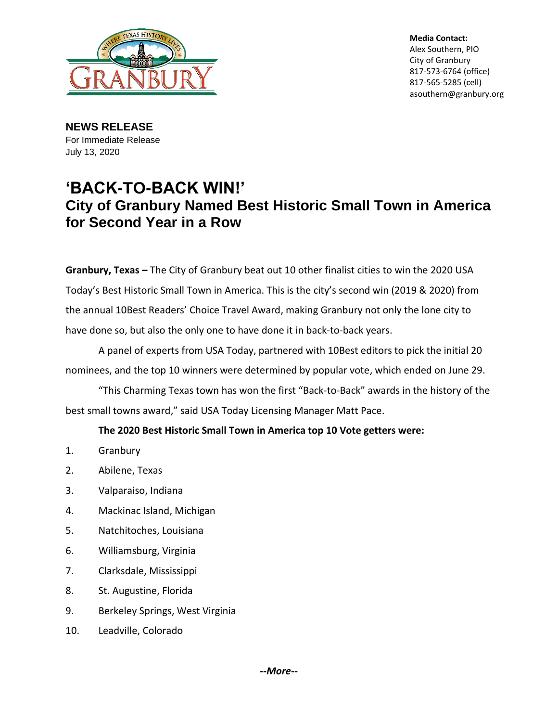

**Media Contact:** Alex Southern, PIO City of Granbury 817-573-6764 (office) 817-565-5285 (cell) asouthern@granbury.org

**NEWS RELEASE** For Immediate Release July 13, 2020

## **'BACK-TO-BACK WIN!' City of Granbury Named Best Historic Small Town in America for Second Year in a Row**

**Granbury, Texas –** The City of Granbury beat out 10 other finalist cities to win the 2020 USA Today's Best Historic Small Town in America. This is the city's second win (2019 & 2020) from the annual 10Best Readers' Choice Travel Award, making Granbury not only the lone city to have done so, but also the only one to have done it in back-to-back years.

A panel of experts from USA Today, partnered with 10Best editors to pick the initial 20 nominees, and the top 10 winners were determined by popular vote, which ended on June 29.

"This Charming Texas town has won the first "Back-to-Back" awards in the history of the best small towns award," said USA Today Licensing Manager Matt Pace.

## **The 2020 Best Historic Small Town in America top 10 Vote getters were:**

- 1. Granbury
- 2. Abilene, Texas
- 3. Valparaiso, Indiana
- 4. Mackinac Island, Michigan
- 5. Natchitoches, Louisiana
- 6. Williamsburg, Virginia
- 7. Clarksdale, Mississippi
- 8. St. Augustine, Florida
- 9. Berkeley Springs, West Virginia
- 10. Leadville, Colorado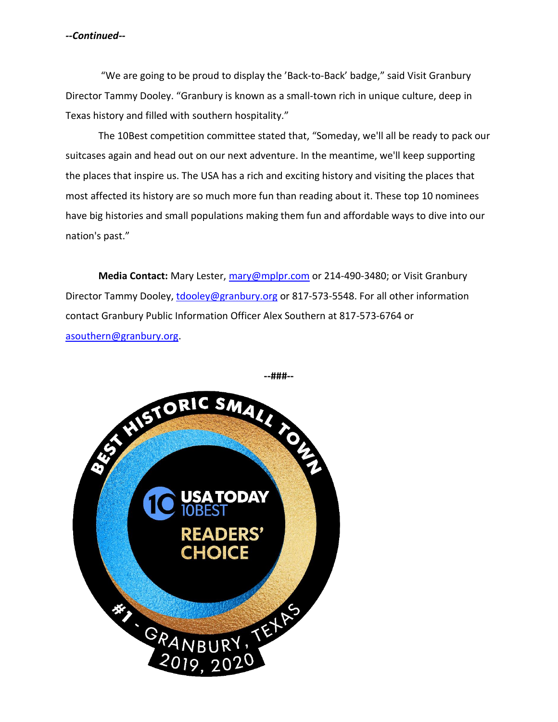## *--Continued--*

"We are going to be proud to display the 'Back-to-Back' badge," said Visit Granbury Director Tammy Dooley. "Granbury is known as a small-town rich in unique culture, deep in Texas history and filled with southern hospitality."

The 10Best competition committee stated that, "Someday, we'll all be ready to pack our suitcases again and head out on our next adventure. In the meantime, we'll keep supporting the places that inspire us. The USA has a rich and exciting history and visiting the places that most affected its history are so much more fun than reading about it. These top 10 nominees have big histories and small populations making them fun and affordable ways to dive into our nation's past."

**Media Contact:** Mary Lester,<mary@mplpr.com> or 214-490-3480; or Visit Granbury Director Tammy Dooley,<tdooley@granbury.org> or 817-573-5548. For all other information contact Granbury Public Information Officer Alex Southern at 817-573-6764 or [asouthern@granbury.org.](mailto:asouthern@granbury.org)